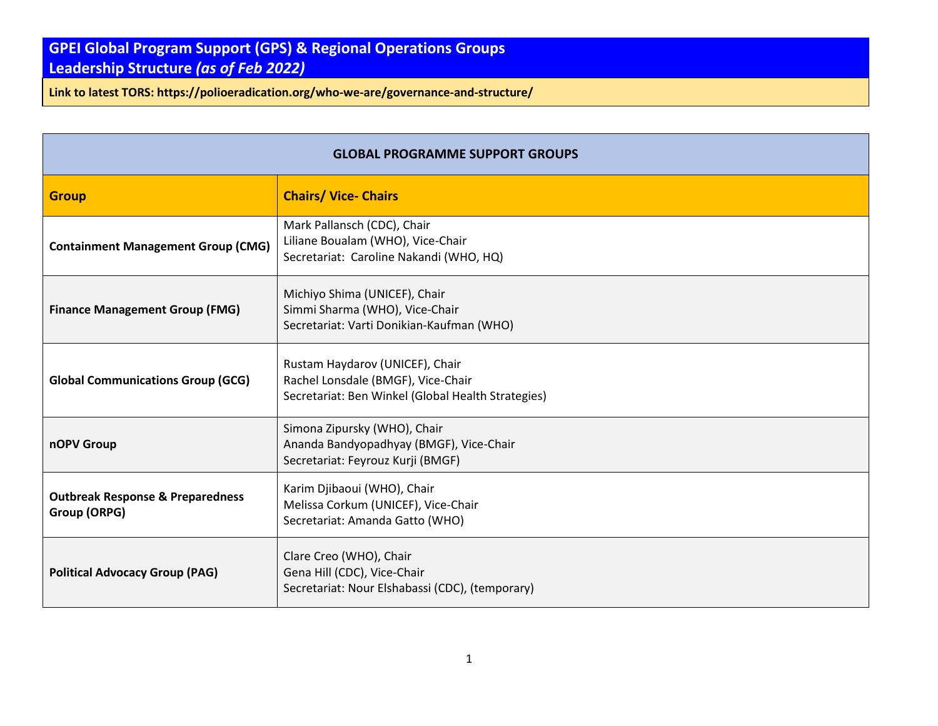## **GPEI Global Program Support (GPS) & Regional Operations Groups Leadership Structure** *(as of Feb 2022)*

**Link to latest TORS: https://polioeradication.org/who-we-are/governance-and-structure/**

| <b>GLOBAL PROGRAMME SUPPORT GROUPS</b>                      |                                                                                                                             |  |
|-------------------------------------------------------------|-----------------------------------------------------------------------------------------------------------------------------|--|
| <b>Group</b>                                                | <b>Chairs/ Vice- Chairs</b>                                                                                                 |  |
| <b>Containment Management Group (CMG)</b>                   | Mark Pallansch (CDC), Chair<br>Liliane Boualam (WHO), Vice-Chair<br>Secretariat: Caroline Nakandi (WHO, HQ)                 |  |
| <b>Finance Management Group (FMG)</b>                       | Michiyo Shima (UNICEF), Chair<br>Simmi Sharma (WHO), Vice-Chair<br>Secretariat: Varti Donikian-Kaufman (WHO)                |  |
| <b>Global Communications Group (GCG)</b>                    | Rustam Haydarov (UNICEF), Chair<br>Rachel Lonsdale (BMGF), Vice-Chair<br>Secretariat: Ben Winkel (Global Health Strategies) |  |
| nOPV Group                                                  | Simona Zipursky (WHO), Chair<br>Ananda Bandyopadhyay (BMGF), Vice-Chair<br>Secretariat: Feyrouz Kurji (BMGF)                |  |
| <b>Outbreak Response &amp; Preparedness</b><br>Group (ORPG) | Karim Djibaoui (WHO), Chair<br>Melissa Corkum (UNICEF), Vice-Chair<br>Secretariat: Amanda Gatto (WHO)                       |  |
| <b>Political Advocacy Group (PAG)</b>                       | Clare Creo (WHO), Chair<br>Gena Hill (CDC), Vice-Chair<br>Secretariat: Nour Elshabassi (CDC), (temporary)                   |  |